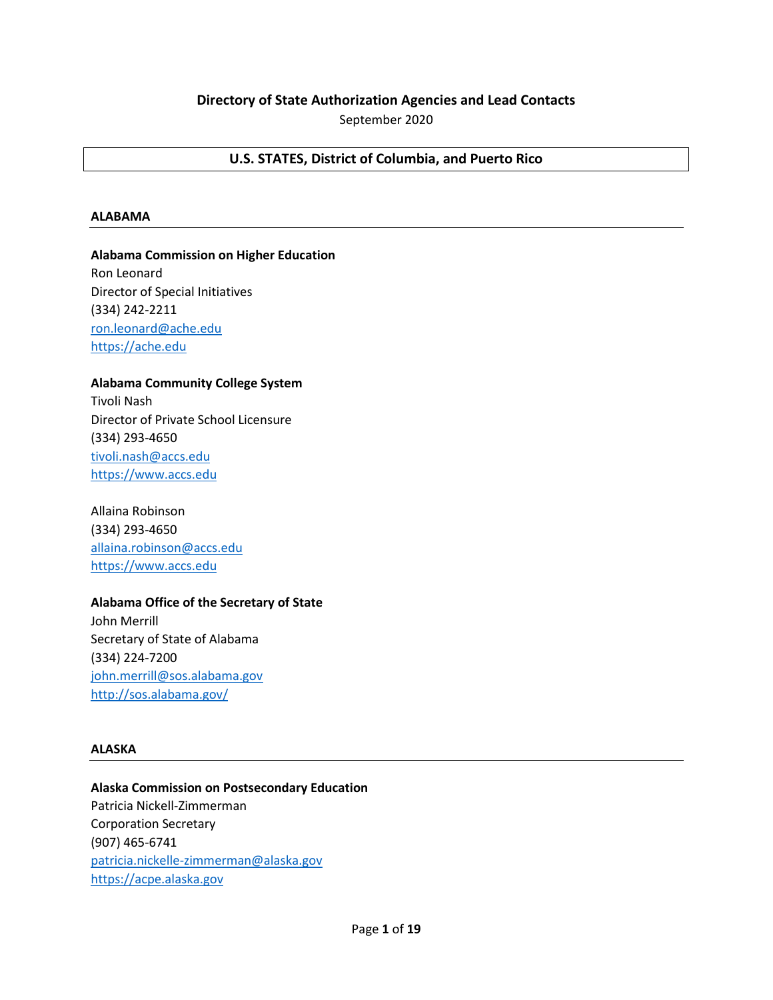## **Directory of State Authorization Agencies and Lead Contacts**

September 2020

## **U.S. STATES, District of Columbia, and Puerto Rico**

#### **ALABAMA**

**Alabama Commission on Higher Education** Ron Leonard Director of Special Initiatives (334) 242-2211 [ron.leonard@ache.edu](mailto:ron.leonard@ache.edu) [https://ache.edu](https://ache.edu/)

#### **Alabama Community College System**

Tivoli Nash Director of Private School Licensure (334) 293-4650 [tivoli.nash@accs.edu](mailto:tivoli.nash@accs.edu) [https://www.accs.edu](https://www.accs.edu/about-accs/private-school-licensure/)

Allaina Robinson (334) 293-4650 [allaina.robinson@accs.edu](mailto:allaina.robinson@accs.edu) [https://www.accs.edu](https://www.accs.edu/about-accs/private-school-licensure/)

#### **Alabama Office of the Secretary of State**

John Merrill Secretary of State of Alabama (334) 224-7200 [john.merrill@sos.alabama.gov](mailto:john.merrill@sos.alabama.gov) <http://sos.alabama.gov/>

#### **ALASKA**

#### **Alaska Commission on Postsecondary Education**

Patricia Nickell-Zimmerman Corporation Secretary (907) 465-6741 [patricia.nickelle-zimmerman@alaska.gov](mailto:patricia.nickelle-zimmerman@alaska.gov) [https://acpe.alaska.gov](https://acpe.alaska.gov/ConsumerProtection)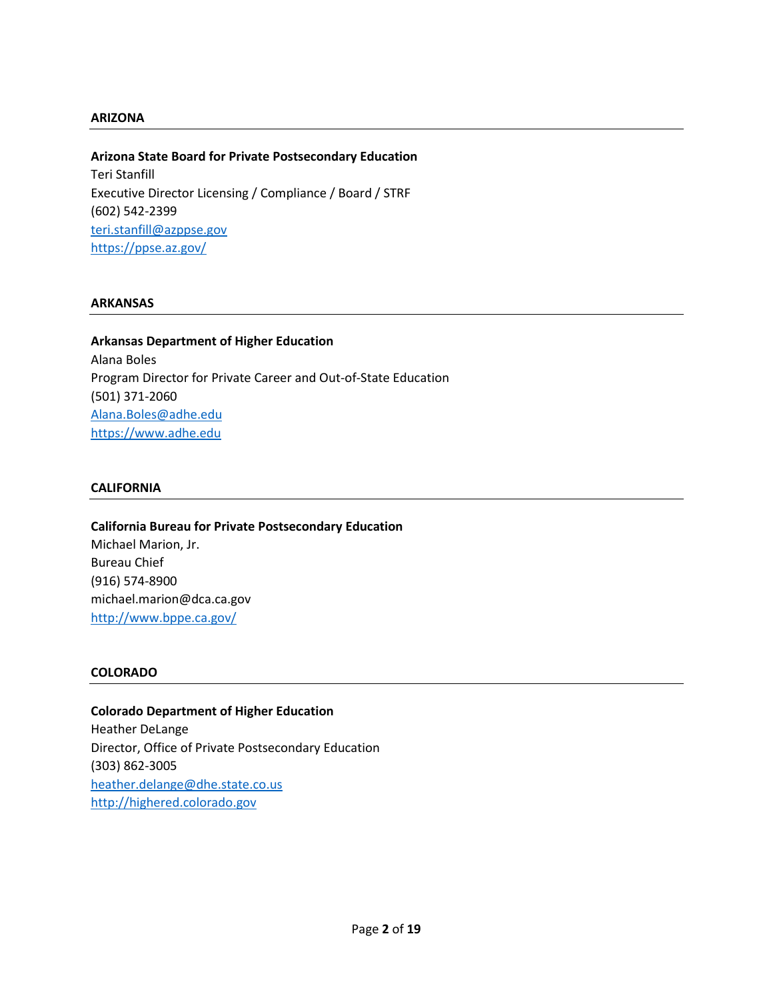## **ARIZONA**

## **Arizona State Board for Private Postsecondary Education**

Teri Stanfill Executive Director Licensing / Compliance / Board / STRF (602) 542-2399 [teri.stanfill@azppse.gov](mailto:teri.stanfill@azppse.gov) <https://ppse.az.gov/>

## **ARKANSAS**

## **Arkansas Department of Higher Education**

Alana Boles Program Director for Private Career and Out-of-State Education (501) 371-2060 [Alana.Boles@adhe.edu](mailto:Alana.Boles@adhe.edu) [https://www.adhe.edu](https://www.adhe.edu/institutions/academic-affairs/sara/)

#### **CALIFORNIA**

# **California Bureau for Private Postsecondary Education** Michael Marion, Jr. Bureau Chief (916) 574-8900 michael.marion@dca.ca.gov <http://www.bppe.ca.gov/>

#### **COLORADO**

# **Colorado Department of Higher Education** Heather DeLange Director, Office of Private Postsecondary Education (303) 862-3005 [heather.delange@dhe.state.co.us](mailto:heather.delange@dhe.state.co.us) [http://highered.colorado.gov](http://highered.colorado.gov/)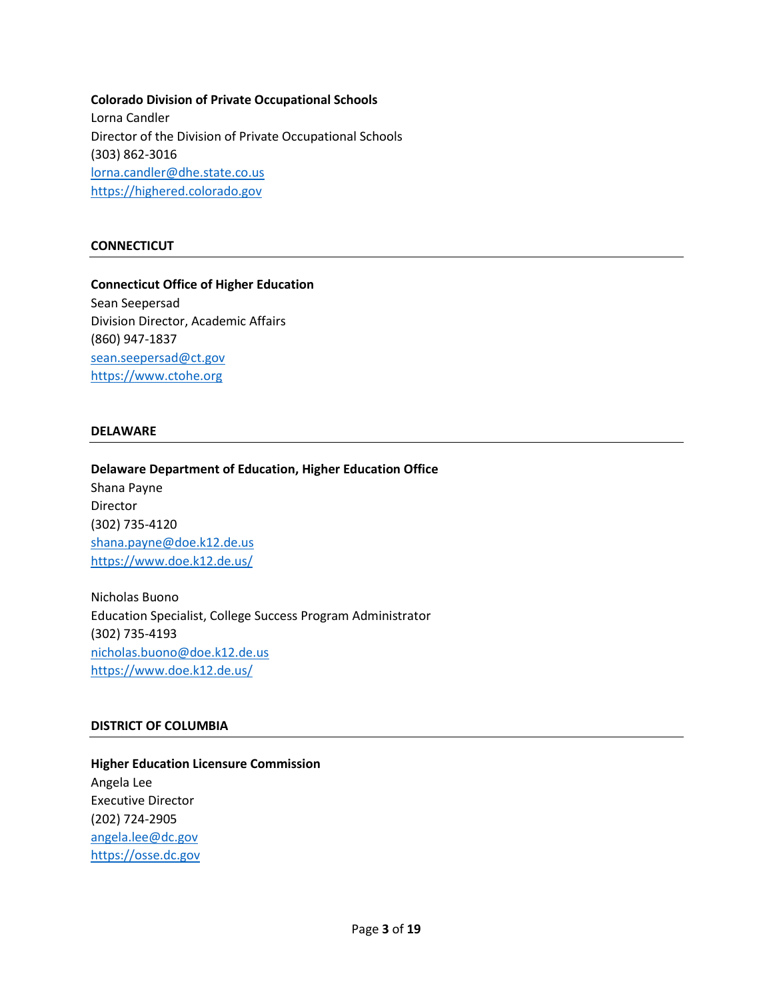**Colorado Division of Private Occupational Schools** Lorna Candler Director of the Division of Private Occupational Schools (303) 862-3016 [lorna.candler@dhe.state.co.us](mailto:lorna.candler@dhe.state.co.us) [https://highered.colorado.gov](https://highered.colorado.gov/)

## **CONNECTICUT**

## **Connecticut Office of Higher Education**

Sean Seepersad Division Director, Academic Affairs (860) 947-1837 [sean.seepersad@ct.gov](mailto:sean.seepersad@ct.gov) [https://www.ctohe.org](https://www.ctohe.org/) 

## **DELAWARE**

# **Delaware Department of Education, Higher Education Office** Shana Payne Director (302) 735-4120 [shana.payne@doe.k12.de.us](mailto:shana.payne@doe.k12.de.us) <https://www.doe.k12.de.us/>

Nicholas Buono Education Specialist, College Success Program Administrator (302) 735-4193 [nicholas.buono@doe.k12.de.us](mailto:nicholas.buono@doe.k12.de.us) <https://www.doe.k12.de.us/>

## **DISTRICT OF COLUMBIA**

**Higher Education Licensure Commission** Angela Lee Executive Director (202) 724-2905 [angela.lee@dc.gov](mailto:angela.lee@dc.gov) [https://osse.dc.gov](https://osse.dc.gov/service/higher-education-licensure-commission-helc)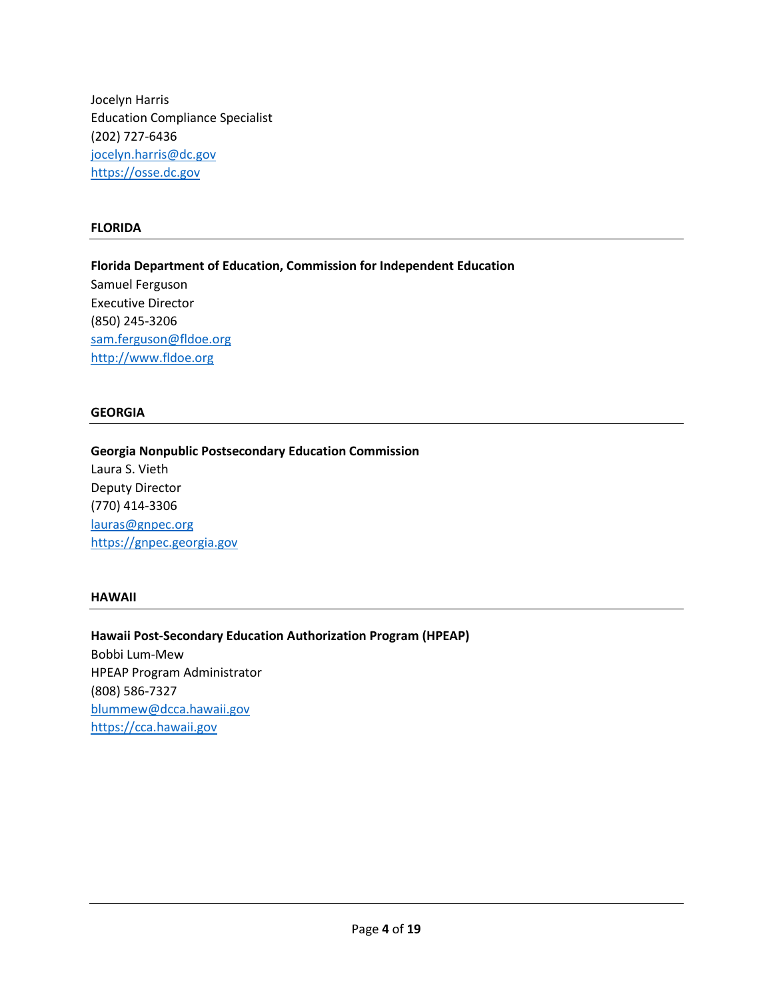Jocelyn Harris Education Compliance Specialist (202) 727-6436 [jocelyn.harris@dc.gov](mailto:jocelyn.harris@dc.gov) [https://osse.dc.gov](https://osse.dc.gov/service/higher-education-licensure-commission-helc)

## **FLORIDA**

**Florida Department of Education, Commission for Independent Education** Samuel Ferguson Executive Director (850) 245-3206 [sam.ferguson@fldoe.org](mailto:sam.ferguson@fldoe.org) [http://www.fldoe.org](http://www.fldoe.org/policy/cie/)

## **GEORGIA**

## **Georgia Nonpublic Postsecondary Education Commission**

Laura S. Vieth Deputy Director (770) 414-3306 [lauras@gnpec.org](mailto:lauras@gnpec.org) [https://gnpec.georgia.gov](https://gnpec.georgia.gov/state-authorization-reciprocity-agreement-sara)

## **HAWAII**

## **Hawaii Post-Secondary Education Authorization Program (HPEAP)**

Bobbi Lum-Mew HPEAP Program Administrator (808) 586-7327 [blummew@dcca.hawaii.gov](mailto:blummew@dcca.hawaii.gov) [https://cca.hawaii.gov](https://cca.hawaii.gov/hpeap/sara/)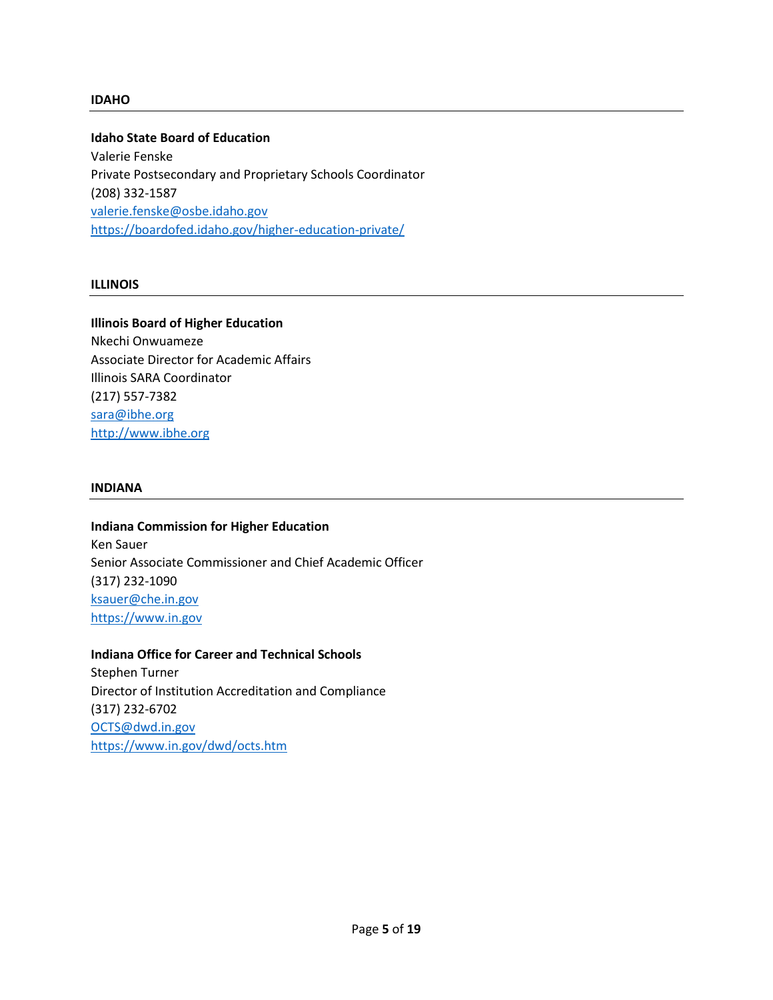## **IDAHO**

**Idaho State Board of Education** Valerie Fenske Private Postsecondary and Proprietary Schools Coordinator (208) 332-1587 [valerie.fenske@osbe.idaho.gov](mailto:valerie.fenske@osbe.idaho.gov) <https://boardofed.idaho.gov/higher-education-private/>

## **ILLINOIS**

**Illinois Board of Higher Education** Nkechi Onwuameze Associate Director for Academic Affairs Illinois SARA Coordinator (217) 557-7382 [sara@ibhe.org](mailto:sara@ibhe.org) [http://www.ibhe.org](http://www.ibhe.org/)

#### **INDIANA**

**Indiana Commission for Higher Education** Ken Sauer Senior Associate Commissioner and Chief Academic Officer (317) 232-1090 [ksauer@che.in.gov](mailto:ksauer@che.in.gov) [https://www.in.gov](https://www.in.gov/)

## **Indiana Office for Career and Technical Schools**

Stephen Turner Director of Institution Accreditation and Compliance (317) 232-6702 [OCTS@dwd.in.gov](mailto:OCTS@dwd.in.gov) <https://www.in.gov/dwd/octs.htm>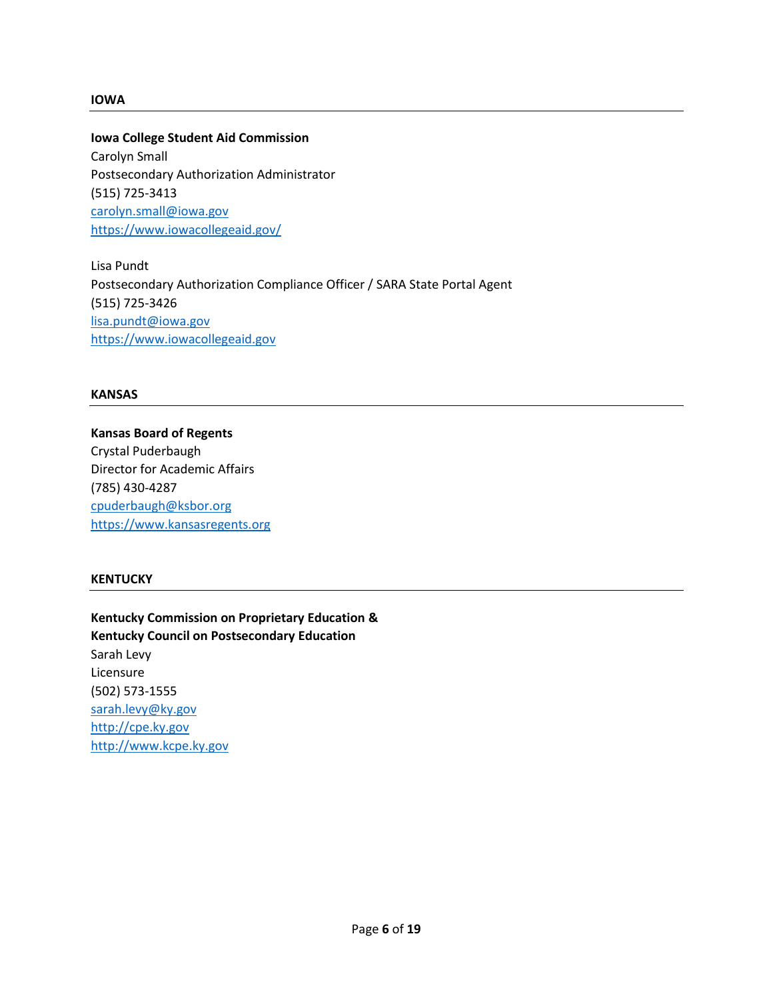## **IOWA**

**Iowa College Student Aid Commission** Carolyn Small Postsecondary Authorization Administrator (515) 725-3413 [carolyn.small@iowa.gov](mailto:carolyn.small@iowa.gov) <https://www.iowacollegeaid.gov/>

Lisa Pundt Postsecondary Authorization Compliance Officer / SARA State Portal Agent (515) 725-3426 [lisa.pundt@iowa.gov](mailto:lisa.pundt@iowa.gov) [https://www.iowacollegeaid.gov](https://www.iowacollegeaid.gov/)

#### **KANSAS**

## **Kansas Board of Regents** Crystal Puderbaugh Director for Academic Affairs (785) 430-4287 [cpuderbaugh@ksbor.org](mailto:cpuderbaugh@ksbor.org) [https://www.kansasregents.org](https://www.kansasregents.org/)

### **KENTUCKY**

**Kentucky Commission on Proprietary Education & Kentucky Council on Postsecondary Education** Sarah Levy Licensure (502) 573-1555 [sarah.levy@ky.gov](mailto:sarah.levy@ky.gov) [http://cpe.ky.gov](http://cpe.ky.gov/) [http://www.kcpe.ky.gov](http://www.kcpe.ky.gov/)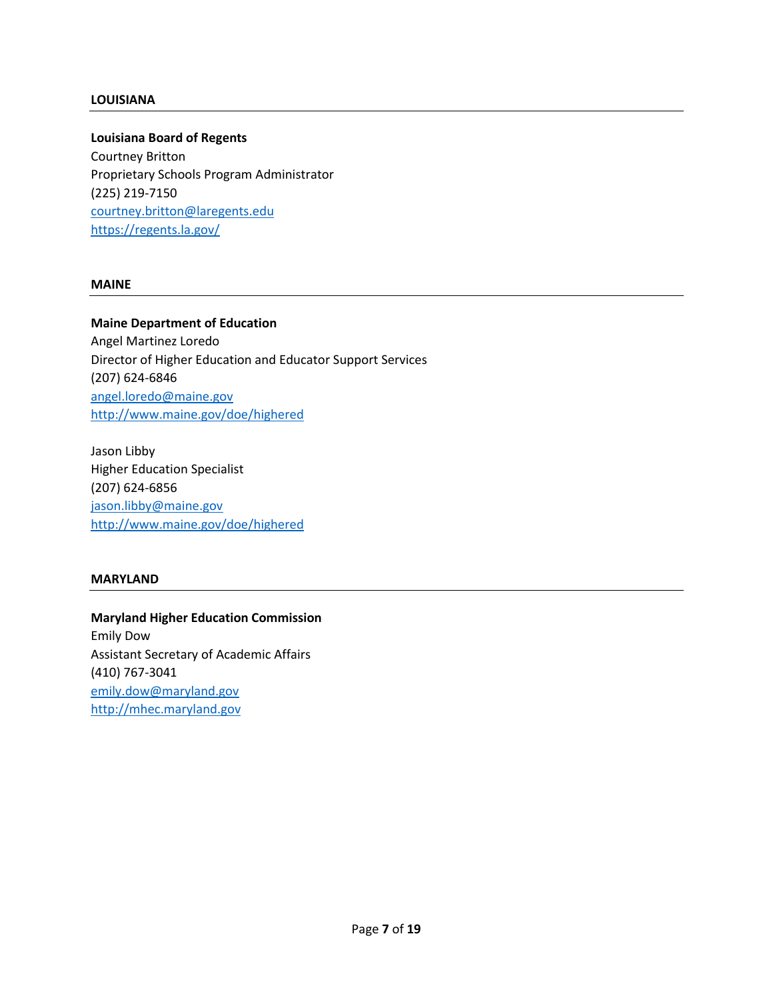## **LOUISIANA**

**Louisiana Board of Regents** Courtney Britton Proprietary Schools Program Administrator (225) 219-7150 [courtney.britton@laregents.edu](mailto:courtney.britton@laregents.edu) <https://regents.la.gov/>

#### **MAINE**

**Maine Department of Education** Angel Martinez Loredo Director of Higher Education and Educator Support Services (207) 624-6846 [angel.loredo@maine.gov](mailto:angel.loredo@maine.gov) <http://www.maine.gov/doe/highered>

Jason Libby Higher Education Specialist (207) 624-6856 [jason.libby@maine.gov](mailto:jason.libby@maine.gov) <http://www.maine.gov/doe/highered>

## **MARYLAND**

# **Maryland Higher Education Commission** Emily Dow Assistant Secretary of Academic Affairs (410) 767-3041 [emily.dow@maryland.gov](mailto:emily.dow@maryland.gov)

[http://mhec.maryland.gov](http://mhec.maryland.gov/)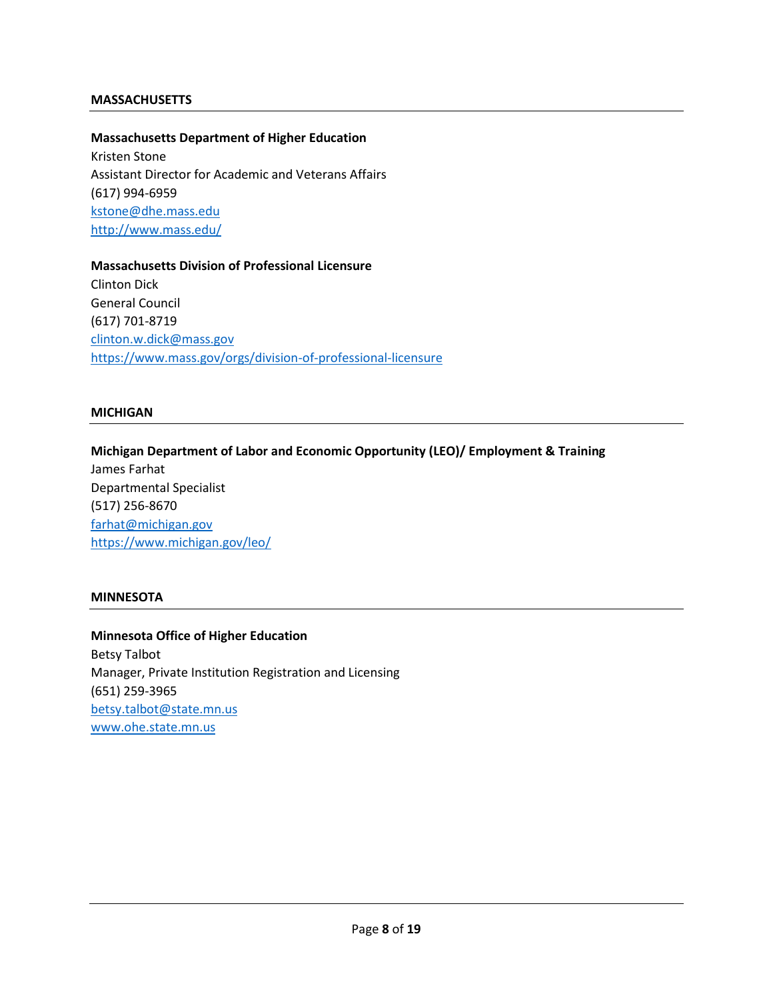## **MASSACHUSETTS**

**Massachusetts Department of Higher Education** Kristen Stone Assistant Director for Academic and Veterans Affairs (617) 994-6959 [kstone@dhe.mass.edu](mailto:kstone@dhe.mass.edu) <http://www.mass.edu/>

## **Massachusetts Division of Professional Licensure** Clinton Dick General Council (617) 701-8719 [clinton.w.dick@mass.gov](mailto:clinton.w.dick@mass.gov) <https://www.mass.gov/orgs/division-of-professional-licensure>

## **MICHIGAN**

**Michigan Department of Labor and Economic Opportunity (LEO)/ Employment & Training** James Farhat Departmental Specialist (517) 256-8670 [farhat@michigan.gov](mailto:farhat@michigan.gov) <https://www.michigan.gov/leo/>

## **MINNESOTA**

**Minnesota Office of Higher Education** Betsy Talbot Manager, Private Institution Registration and Licensing (651) 259-3965 [betsy.talbot@state.mn.us](mailto:betsy.talbot@state.mn.us) [www.ohe.state.mn.us](http://www.ohe.state.mn.us/)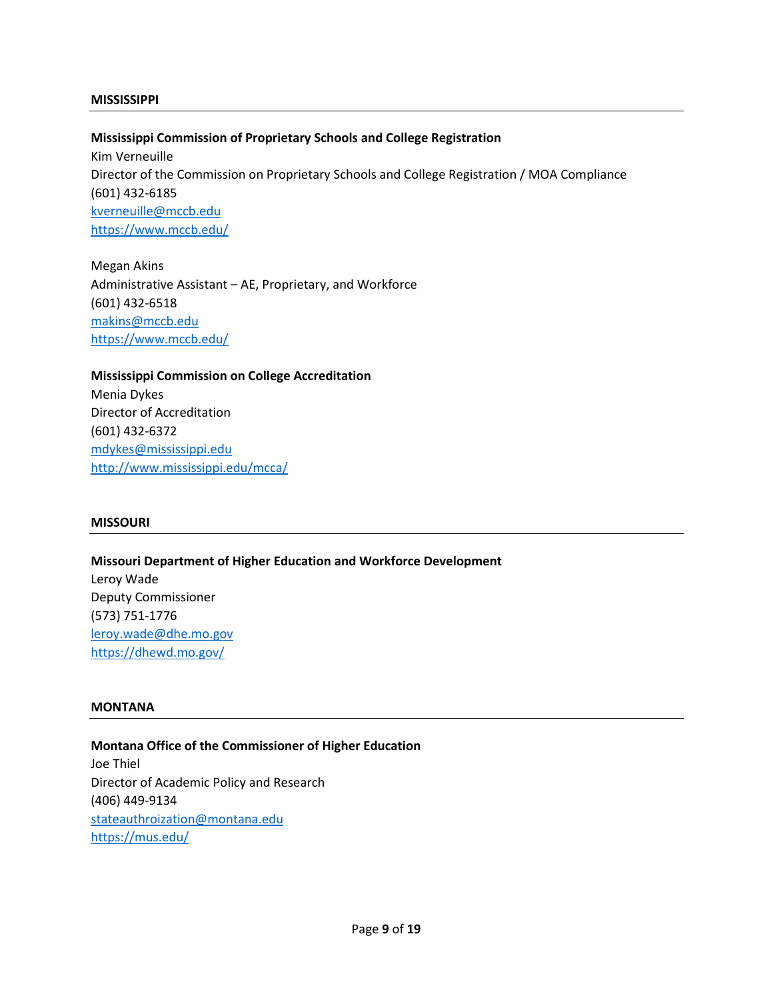#### **MISSISSIPPI**

## **Mississippi Commission of Proprietary Schools and College Registration**

Kim Verneuille Director of the Commission on Proprietary Schools and College Registration / MOA Compliance (601) 432-6185 [kverneuille@mccb.edu](mailto:kverneuille@mccb.edu) <https://www.mccb.edu/>

Megan Akins Administrative Assistant – AE, Proprietary, and Workforce (601) 432-6518 [makins@mccb.edu](mailto:makins@mccb.edu) <https://www.mccb.edu/>

**Mississippi Commission on College Accreditation** Menia Dykes Director of Accreditation (601) 432-6372 [mdykes@mississippi.edu](mailto:mdykes@mississippi.edu) <http://www.mississippi.edu/mcca/>

## **MISSOURI**

**Missouri Department of Higher Education and Workforce Development** Leroy Wade Deputy Commissioner (573) 751-1776 [leroy.wade@dhe.mo.gov](mailto:leroy.wade@dhe.mo.gov) <https://dhewd.mo.gov/>

## **MONTANA**

**Montana Office of the Commissioner of Higher Education** Joe Thiel Director of Academic Policy and Research (406) 449-9134 [stateauthroization@montana.edu](mailto:stateauthroization@montana.edu) <https://mus.edu/>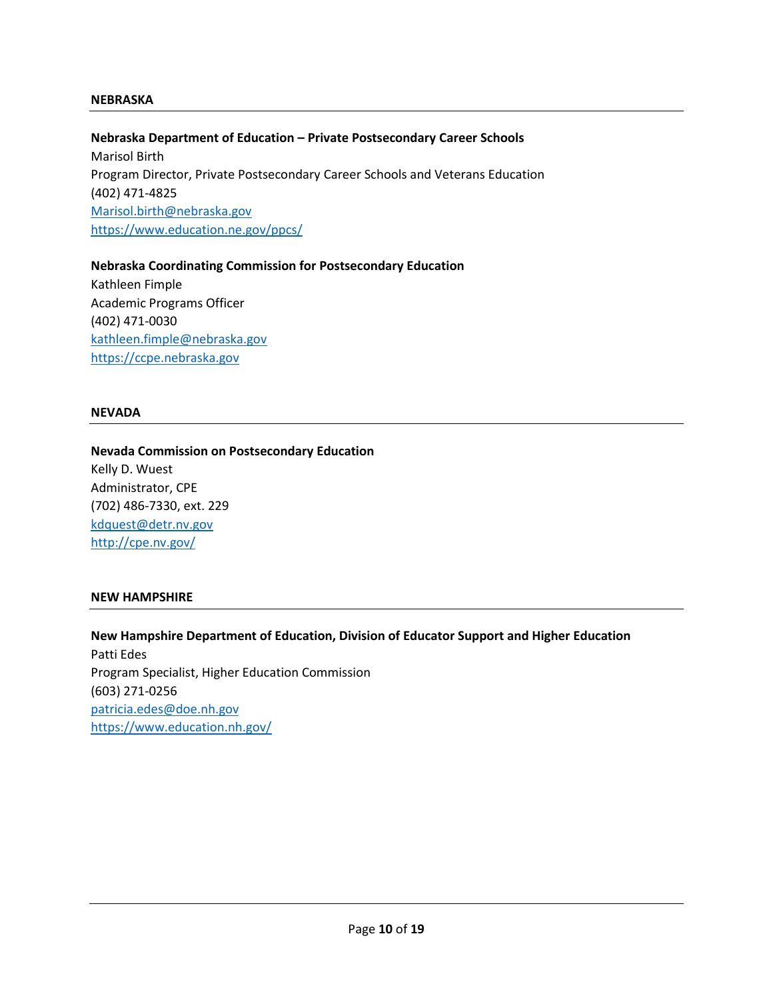## **NEBRASKA**

# **Nebraska Department of Education – Private Postsecondary Career Schools** Marisol Birth Program Director, Private Postsecondary Career Schools and Veterans Education (402) 471-4825 [Marisol.birth@nebraska.gov](mailto:Marisol.birth@nebraska.gov)

<https://www.education.ne.gov/ppcs/>

#### **Nebraska Coordinating Commission for Postsecondary Education**

Kathleen Fimple Academic Programs Officer (402) 471-0030 [kathleen.fimple@nebraska.gov](mailto:kathleen.fimple@nebraska.gov) [https://ccpe.nebraska.gov](https://ccpe.nebraska.gov/)

## **NEVADA**

# **Nevada Commission on Postsecondary Education** Kelly D. Wuest Administrator, CPE (702) 486-7330, ext. 229 [kdquest@detr.nv.gov](mailto:kdquest@detr.nv.gov) <http://cpe.nv.gov/>

## **NEW HAMPSHIRE**

# **New Hampshire Department of Education, Division of Educator Support and Higher Education** Patti Edes Program Specialist, Higher Education Commission (603) 271-0256 [patricia.edes@doe.nh.gov](mailto:patricia.edes@doe.nh.gov) <https://www.education.nh.gov/>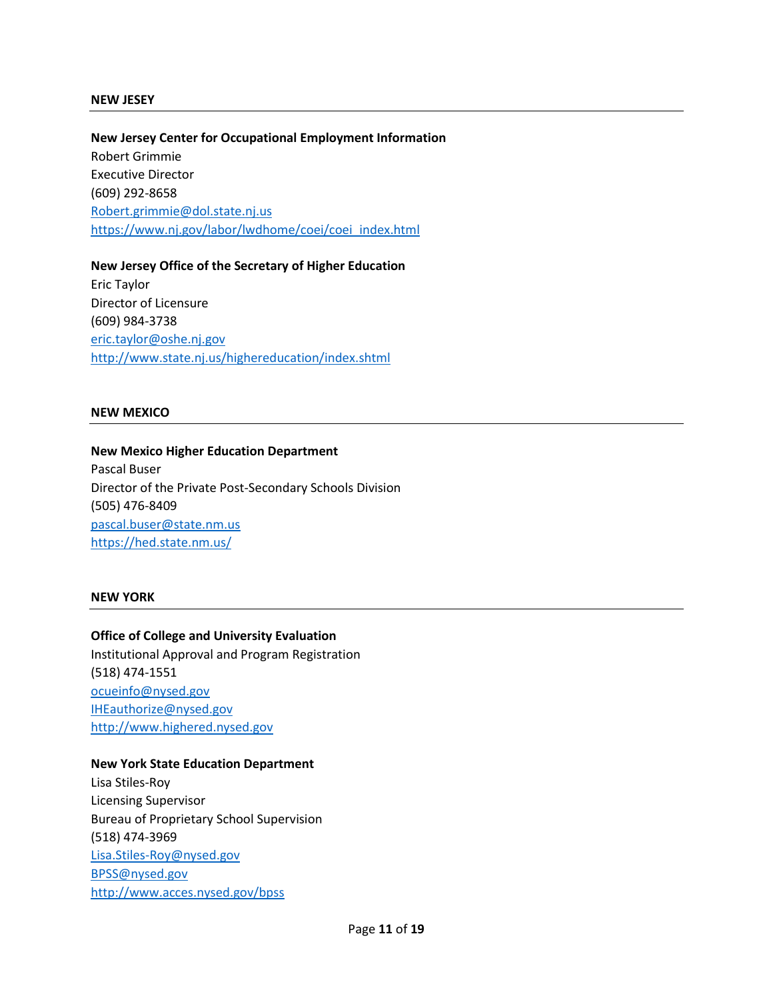#### **NEW JESEY**

#### **New Jersey Center for Occupational Employment Information**

Robert Grimmie Executive Director (609) 292-8658 [Robert.grimmie@dol.state.nj.us](mailto:Robert.grimmie@dol.state.nj.us) [https://www.nj.gov/labor/lwdhome/coei/coei\\_index.html](https://www.nj.gov/labor/lwdhome/coei/coei_index.html)

#### **New Jersey Office of the Secretary of Higher Education**

Eric Taylor Director of Licensure (609) 984-3738 [eric.taylor@oshe.nj.gov](mailto:eric.taylor@oshe.nj.gov) <http://www.state.nj.us/highereducation/index.shtml>

#### **NEW MEXICO**

#### **New Mexico Higher Education Department**

Pascal Buser Director of the Private Post-Secondary Schools Division (505) 476-8409 [pascal.buser@state.nm.us](mailto:pascal.buser@state.nm.us) <https://hed.state.nm.us/>

#### **NEW YORK**

#### **Office of College and University Evaluation**

Institutional Approval and Program Registration (518) 474-1551 [ocueinfo@nysed.gov](mailto:ocueinfo@nysed.gov) [IHEauthorize@nysed.gov](mailto:IHEauthorize@nysed.gov) [http://www.highered.nysed.gov](http://www.highered.nysed.gov/)

#### **New York State Education Department**

Lisa Stiles-Roy Licensing Supervisor Bureau of Proprietary School Supervision (518) 474-3969 [Lisa.Stiles-Roy@nysed.gov](mailto:Lisa.Stiles-Roy@nysed.gov) [BPSS@nysed.gov](mailto:BPSS@nysed.gov) <http://www.acces.nysed.gov/bpss>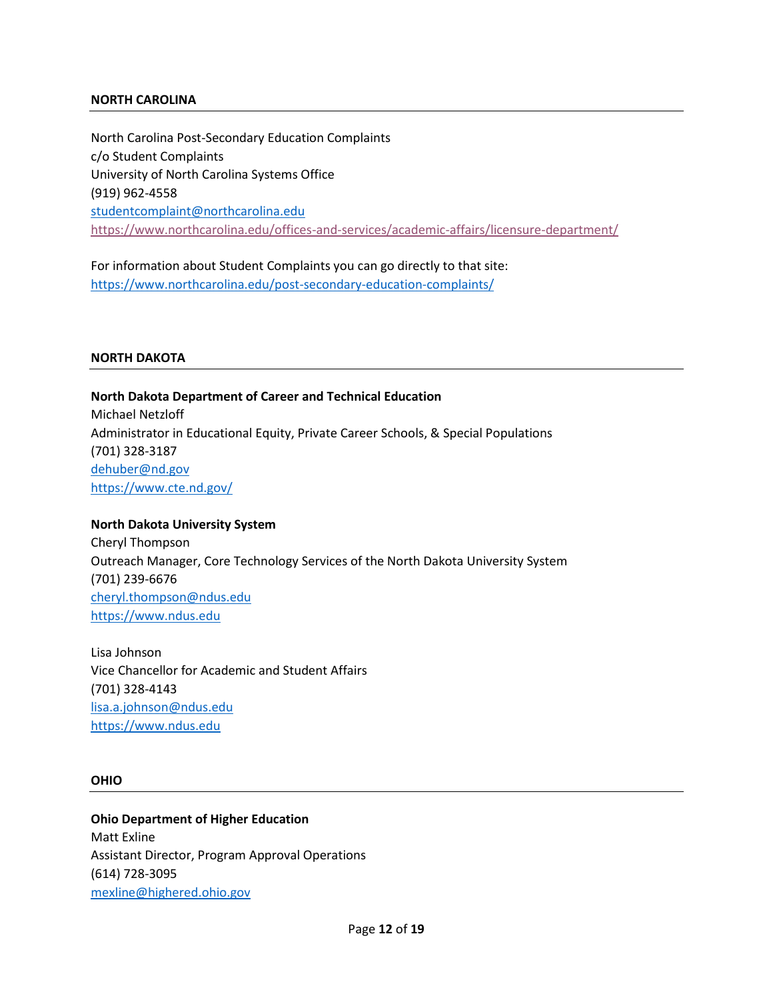## **NORTH CAROLINA**

North Carolina Post-Secondary Education Complaints c/o Student Complaints University of North Carolina Systems Office (919) 962-4558 [studentcomplaint@northcarolina.edu](mailto:studentcomplaint@northcarolina.edu) <https://www.northcarolina.edu/offices-and-services/academic-affairs/licensure-department/>

For information about Student Complaints you can go directly to that site: <https://www.northcarolina.edu/post-secondary-education-complaints/>

## **NORTH DAKOTA**

**North Dakota Department of Career and Technical Education** Michael Netzloff Administrator in Educational Equity, Private Career Schools, & Special Populations (701) 328-3187 [dehuber@nd.gov](mailto:dehuber@nd.gov) <https://www.cte.nd.gov/>

## **North Dakota University System**

Cheryl Thompson Outreach Manager, Core Technology Services of the North Dakota University System (701) 239-6676 [cheryl.thompson@ndus.edu](mailto:cheryl.thompson@ndus.edu) [https://www.ndus.edu](https://www.ndus.edu/)

Lisa Johnson Vice Chancellor for Academic and Student Affairs (701) 328-4143 [lisa.a.johnson@ndus.edu](mailto:lisa.a.johnson@ndus.edu) [https://www.ndus.edu](https://www.ndus.edu/)

#### **OHIO**

## **Ohio Department of Higher Education**

Matt Exline Assistant Director, Program Approval Operations (614) 728-3095 [mexline@highered.ohio.gov](mailto:mexline@highered.ohio.gov)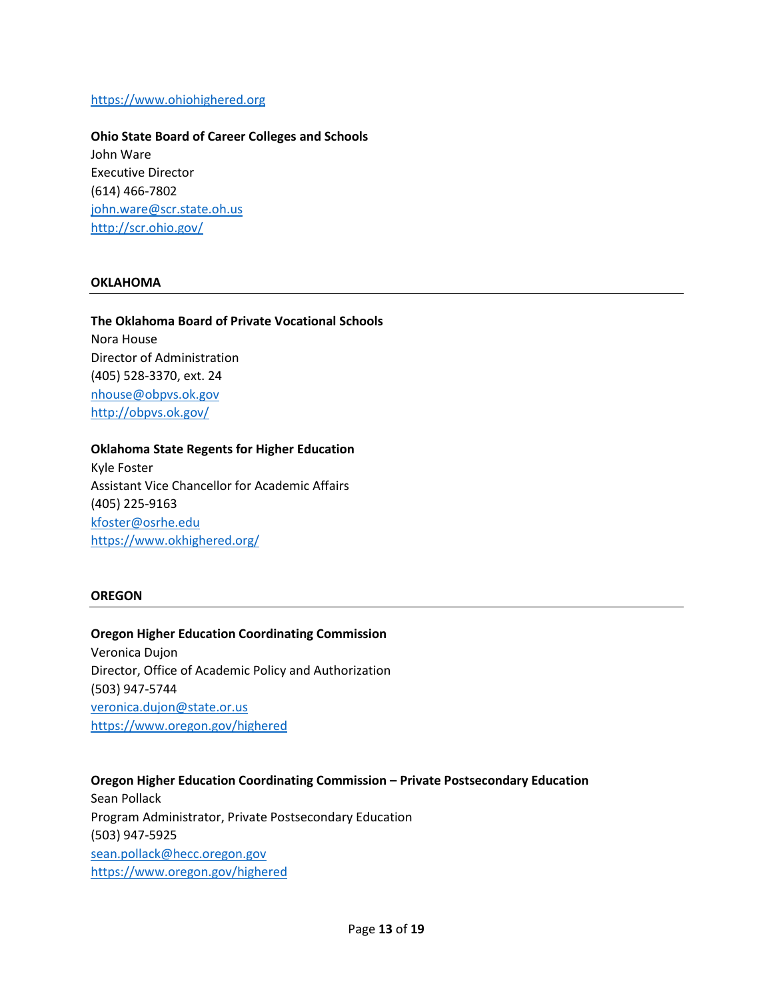## [https://www.ohiohighered.org](https://www.ohiohighered.org/)

**Ohio State Board of Career Colleges and Schools** John Ware Executive Director (614) 466-7802 [john.ware@scr.state.oh.us](mailto:john.ware@scr.state.oh.us) <http://scr.ohio.gov/>

#### **OKLAHOMA**

#### **The Oklahoma Board of Private Vocational Schools**

Nora House Director of Administration (405) 528-3370, ext. 24 [nhouse@obpvs.ok.gov](mailto:nhouse@obpvs.ok.gov) <http://obpvs.ok.gov/>

#### **Oklahoma State Regents for Higher Education**

Kyle Foster Assistant Vice Chancellor for Academic Affairs (405) 225-9163 [kfoster@osrhe.edu](mailto:kfoster@osrhe.edu) <https://www.okhighered.org/>

#### **OREGON**

# **Oregon Higher Education Coordinating Commission** Veronica Dujon Director, Office of Academic Policy and Authorization (503) 947-5744 [veronica.dujon@state.or.us](mailto:veronica.dujon@state.or.us)

<https://www.oregon.gov/highered>

#### **Oregon Higher Education Coordinating Commission – Private Postsecondary Education**

Sean Pollack Program Administrator, Private Postsecondary Education (503) 947-5925 [sean.pollack@hecc.oregon.gov](mailto:sean.pollack@hecc.oregon.gov) <https://www.oregon.gov/highered>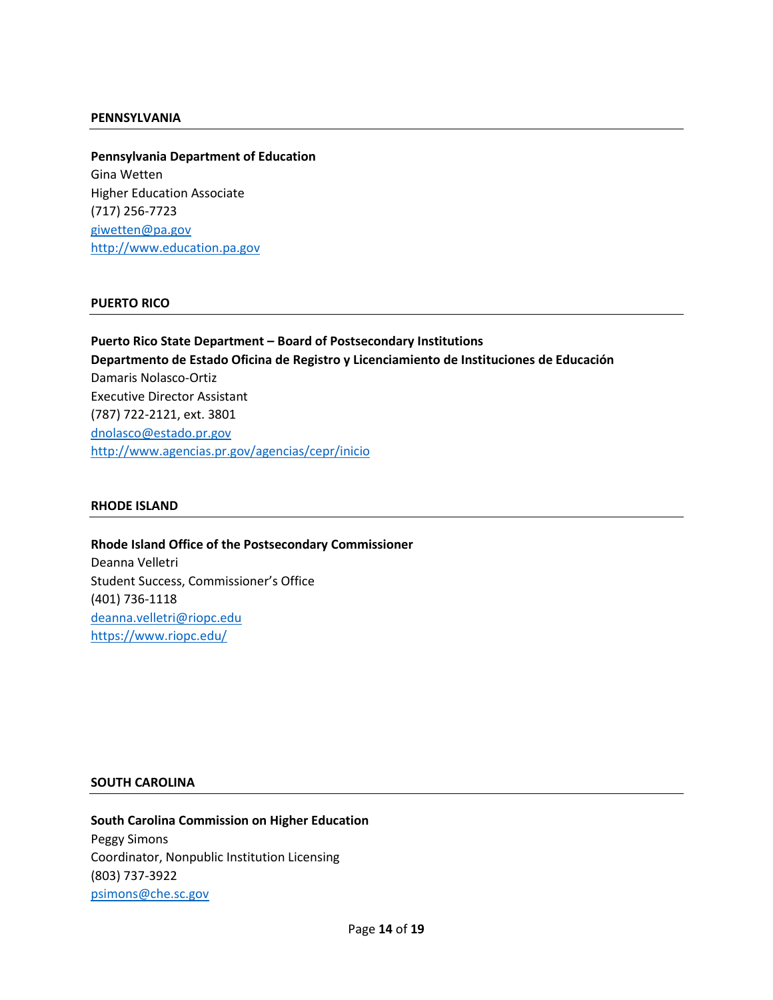## **PENNSYLVANIA**

**Pennsylvania Department of Education** Gina Wetten Higher Education Associate (717) 256-7723 [giwetten@pa.gov](mailto:giwetten@pa.gov) [http://www.education.pa.gov](http://www.education.pa.gov/)

## **PUERTO RICO**

**Puerto Rico State Department – Board of Postsecondary Institutions Departmento de Estado Oficina de Registro y Licenciamiento de Instituciones de Educación** Damaris Nolasco-Ortiz Executive Director Assistant (787) 722-2121, ext. 3801 [dnolasco@estado.pr.gov](mailto:dnolasco@estado.pr.gov) <http://www.agencias.pr.gov/agencias/cepr/inicio>

## **RHODE ISLAND**

**Rhode Island Office of the Postsecondary Commissioner** Deanna Velletri Student Success, Commissioner's Office (401) 736-1118 [deanna.velletri@riopc.edu](mailto:deanna.velletri@riopc.edu) <https://www.riopc.edu/>

#### **SOUTH CAROLINA**

#### **South Carolina Commission on Higher Education**

Peggy Simons Coordinator, Nonpublic Institution Licensing (803) 737-3922 [psimons@che.sc.gov](mailto:psimons@che.sc.gov)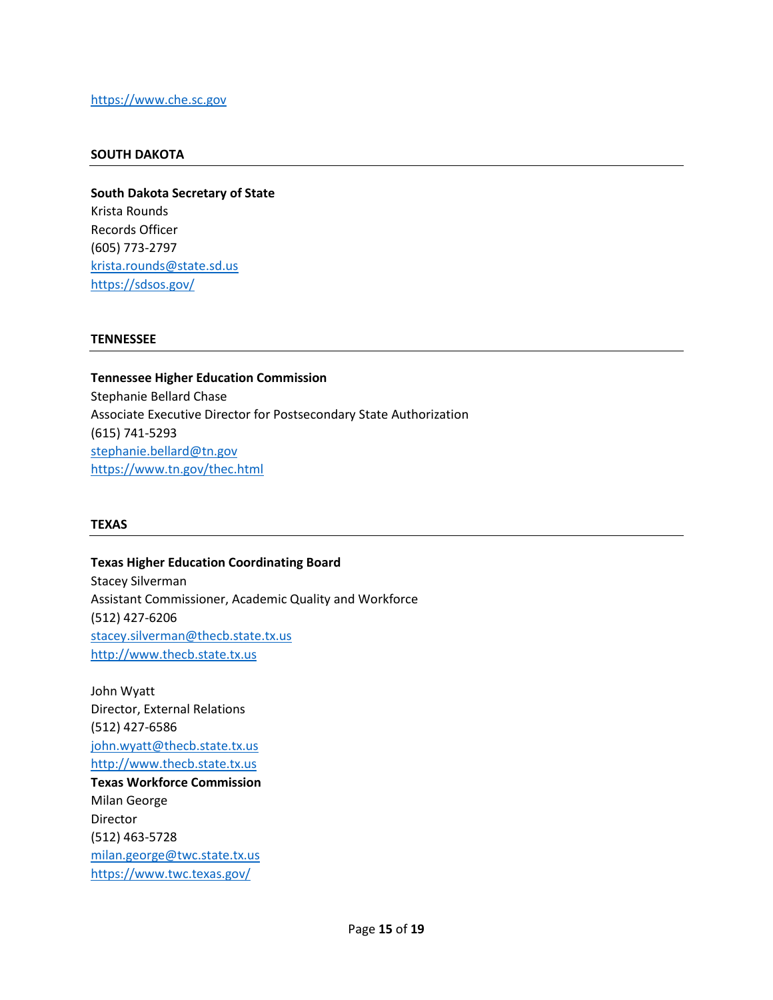#### **SOUTH DAKOTA**

**South Dakota Secretary of State** Krista Rounds Records Officer (605) 773-2797 [krista.rounds@state.sd.us](mailto:krista.rounds@state.sd.us) <https://sdsos.gov/>

## **TENNESSEE**

**Tennessee Higher Education Commission** Stephanie Bellard Chase Associate Executive Director for Postsecondary State Authorization (615) 741-5293 [stephanie.bellard@tn.gov](mailto:stephanie.bellard@tn.gov) <https://www.tn.gov/thec.html>

## **TEXAS**

#### **Texas Higher Education Coordinating Board**

Stacey Silverman Assistant Commissioner, Academic Quality and Workforce (512) 427-6206 [stacey.silverman@thecb.state.tx.us](mailto:stacey.silverman@thecb.state.tx.us) [http://www.thecb.state.tx.us](http://www.thecb.state.tx.us/)

John Wyatt Director, External Relations (512) 427-6586 [john.wyatt@thecb.state.tx.us](mailto:john.wyatt@thecb.state.tx.us) [http://www.thecb.state.tx.us](http://www.thecb.state.tx.us/) **Texas Workforce Commission** Milan George Director (512) 463-5728 [milan.george@twc.state.tx.us](mailto:milan.george@twc.state.tx.us) <https://www.twc.texas.gov/>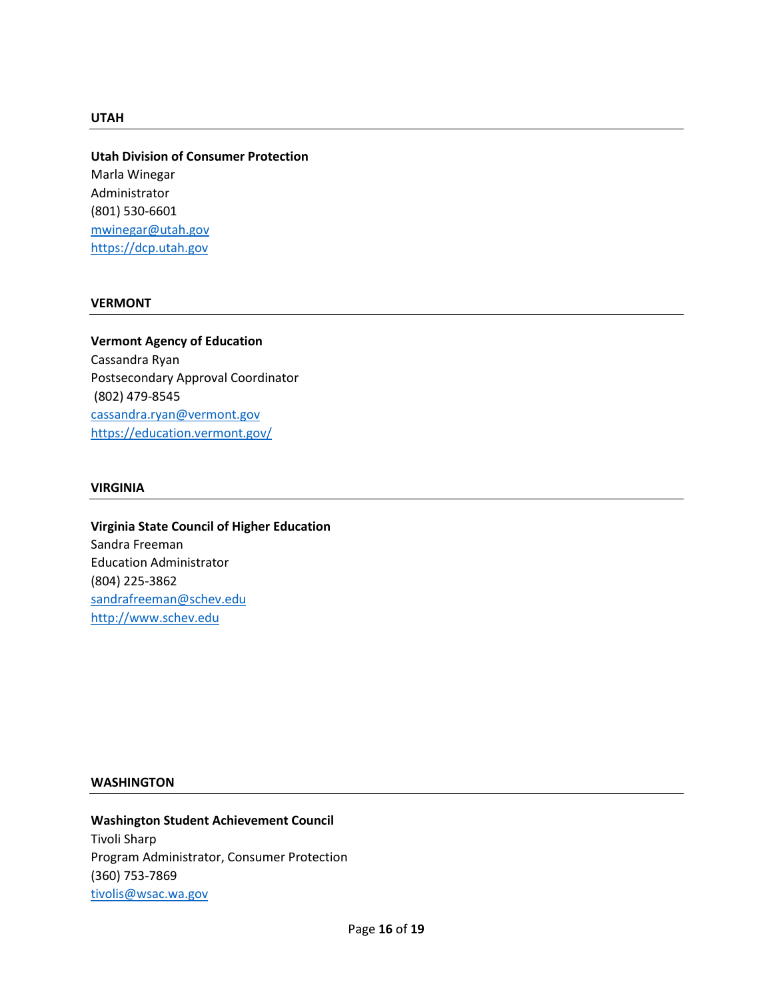## **UTAH**

## **Utah Division of Consumer Protection** Marla Winegar Administrator (801) 530-6601 [mwinegar@utah.gov](mailto:mwinegar@utah.gov) [https://dcp.utah.gov](https://dcp.utah.gov/)

## **VERMONT**

## **Vermont Agency of Education**

Cassandra Ryan Postsecondary Approval Coordinator (802) 479-8545 [cassandra.ryan@vermont.gov](mailto:cassandra.ryan@vermont.gov) <https://education.vermont.gov/>

#### **VIRGINIA**

**Virginia State Council of Higher Education** Sandra Freeman Education Administrator (804) 225-3862 [sandrafreeman@schev.edu](mailto:sandrafreeman@schev.edu) [http://www.schev.edu](http://www.schev.edu/)

#### **WASHINGTON**

#### **Washington Student Achievement Council**

Tivoli Sharp Program Administrator, Consumer Protection (360) 753-7869 [tivolis@wsac.wa.gov](mailto:tivolis@wsac.wa.gov)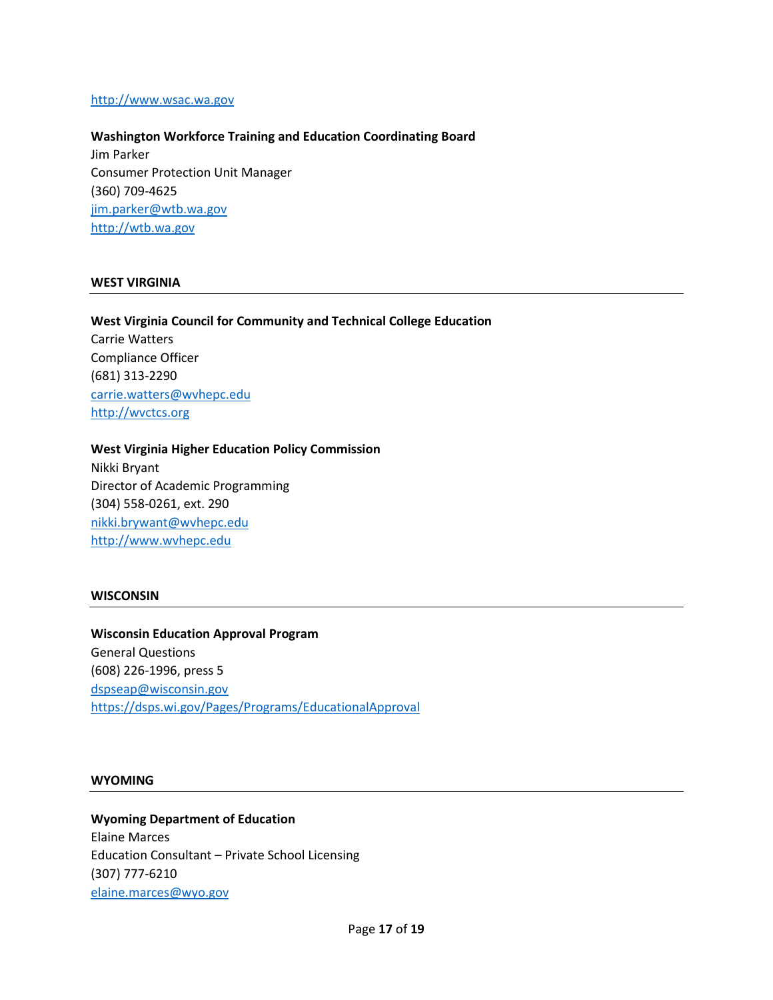#### [http://www.wsac.wa.gov](http://www.wsac.wa.gov/)

## **Washington Workforce Training and Education Coordinating Board**

Jim Parker Consumer Protection Unit Manager (360) 709-4625 [jim.parker@wtb.wa.gov](mailto:jim.parker@wtb.wa.gov) [http://wtb.wa.gov](http://wtb.wa.gov/)

#### **WEST VIRGINIA**

## **West Virginia Council for Community and Technical College Education**

Carrie Watters Compliance Officer (681) 313-2290 [carrie.watters@wvhepc.edu](mailto:carrie.watters@wvhepc.edu) [http://wvctcs.org](http://wvctcs.org/)

#### **West Virginia Higher Education Policy Commission**

Nikki Bryant Director of Academic Programming (304) 558-0261, ext. 290 [nikki.brywant@wvhepc.edu](mailto:nikki.brywant@wvhepc.edu) [http://www.wvhepc.edu](http://www.wvhepc.edu/)

#### **WISCONSIN**

**Wisconsin Education Approval Program** General Questions (608) 226-1996, press 5 [dspseap@wisconsin.gov](mailto:dspseap@wisconsin.gov) <https://dsps.wi.gov/Pages/Programs/EducationalApproval>

#### **WYOMING**

#### **Wyoming Department of Education**

Elaine Marces Education Consultant – Private School Licensing (307) 777-6210 [elaine.marces@wyo.gov](mailto:elaine.marces@wyo.gov)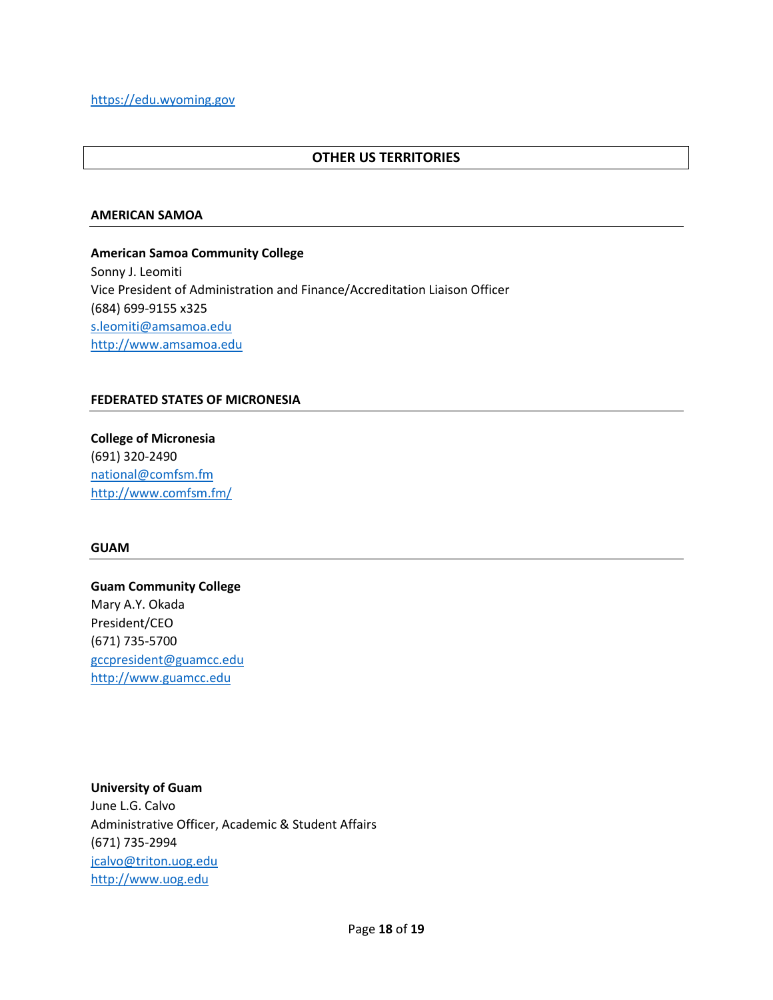[https://edu.wyoming.gov](https://edu.wyoming.gov/)

## **OTHER US TERRITORIES**

## **AMERICAN SAMOA**

**American Samoa Community College** Sonny J. Leomiti Vice President of Administration and Finance/Accreditation Liaison Officer (684) 699-9155 x325 [s.leomiti@amsamoa.edu](mailto:s.leomiti@amsamoa.edu) [http://www.amsamoa.edu](http://www.amsamoa.edu/)

## **FEDERATED STATES OF MICRONESIA**

**College of Micronesia** (691) 320-2490 [national@comfsm.fm](mailto:national@comfsm.fm) <http://www.comfsm.fm/>

## **GUAM**

**Guam Community College** Mary A.Y. Okada President/CEO (671) 735-5700 [gccpresident@guamcc.edu](mailto:gccpresident@guamcc.edu) [http://www.guamcc.edu](http://www.guamcc.edu/)

## **University of Guam**

June L.G. Calvo Administrative Officer, Academic & Student Affairs (671) 735-2994 [jcalvo@triton.uog.edu](mailto:jcalvo@triton.uog.edu) [http://www.uog.edu](http://www.uog.edu/)